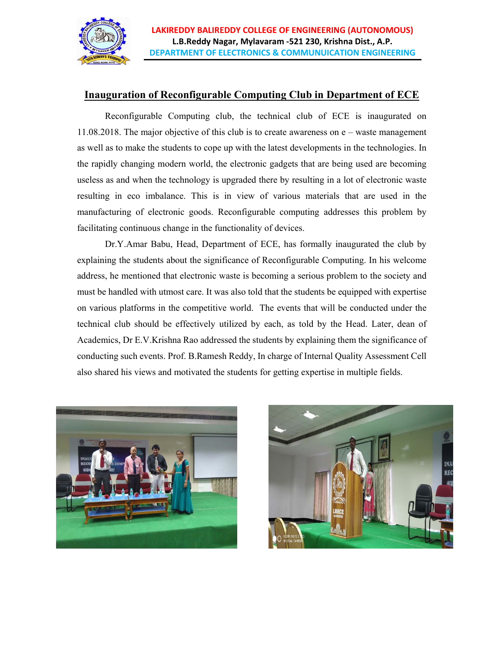

## **Inauguration of Reconfigurable Computing Club in Department of ECE**

Reconfigurable Computing club, the technical club of ECE is inaugurated on 11.08.2018. The major objective of this club is to create awareness on e – waste management as well as to make the students to cope up with the latest developments in the technologies. In the rapidly changing modern world, the electronic gadgets that are being used are becoming useless as and when the technology is upgraded there by resulting in a lot of electronic waste resulting in eco imbalance. This is in view of various materials that are used in the manufacturing of electronic goods. Reconfigurable computing addresses this problem by facilitating continuous change in the functionality of devices.

Dr.Y.Amar Babu, Head, Department of ECE, has formally inaugurated the club by explaining the students about the significance of Reconfigurable Computing. In his welcome address, he mentioned that electronic waste is becoming a serious problem to the society and must be handled with utmost care. It was also told that the students be equipped with expertise on various platforms in the competitive world. The events that will be conducted under the technical club should be effectively utilized by each, as told by the Head. Later, dean of Academics, Dr E.V.Krishna Rao addressed the students by explaining them the significance of conducting such events. Prof. B.Ramesh Reddy, In charge of Internal Quality Assessment Cell also shared his views and motivated the students for getting expertise in multiple fields.



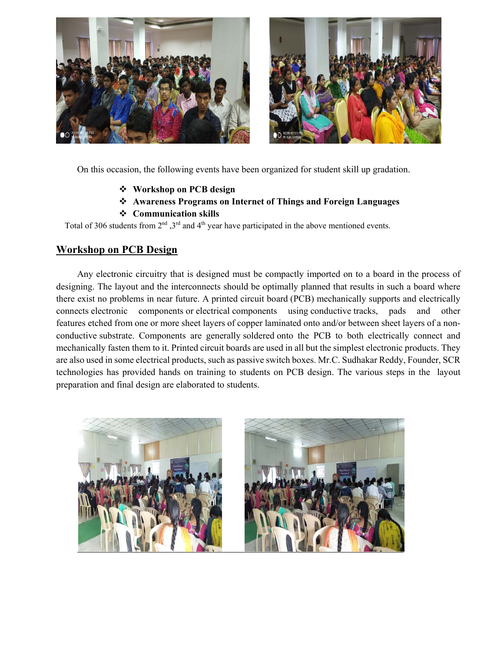

On this occasion, the following events have been organized for student skill up gradation.

- **Workshop on PCB design**
- **Awareness Programs on Internet of Things and Foreign Languages**
- **Communication skills**

Total of 306 students from  $2^{nd}$ ,  $3^{rd}$  and  $4^{th}$  year have participated in the above mentioned events.

## **Workshop on PCB Design**

Any electronic circuitry that is designed must be compactly imported on to a board in the process of designing. The layout and the interconnects should be optimally planned that results in such a board where there exist no problems in near future. A printed circuit board (PCB) mechanically supports and electrically connects electronic components or electrical components using conductive tracks, pads and other features etched from one or more sheet layers of copper laminated onto and/or between sheet layers of a nonconductive substrate. Components are generally soldered onto the PCB to both electrically connect and mechanically fasten them to it. Printed circuit boards are used in all but the simplest electronic products. They are also used in some electrical products, such as passive switch boxes. Mr.C. Sudhakar Reddy, Founder, SCR technologies has provided hands on training to students on PCB design. The various steps in the layout preparation and final design are elaborated to students.